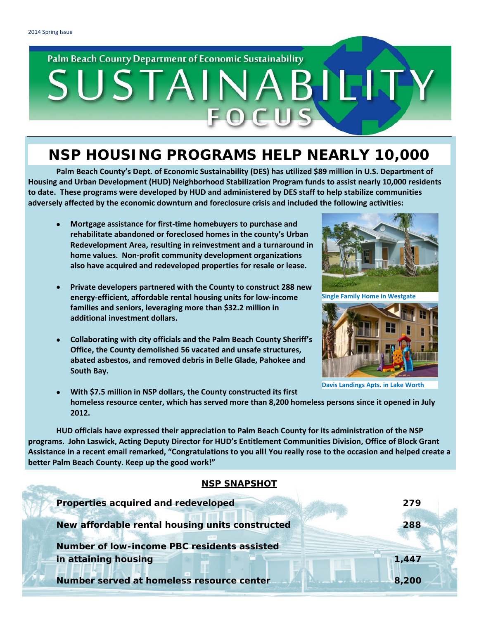### Palm Beach County Department of Economic Sustainability

# SUSTAINA BIEL

## **NSP HOUSING PROGRAMS HELP NEARLY 10,000**

**Palm Beach County's Dept. of Economic Sustainability (DES) has utilized \$89 million in U.S. Department of Housing and Urban Development (HUD) Neighborhood Stabilization Program funds to assist nearly 10,000 residents to date. These programs were developed by HUD and administered by DES staff to help stabilize communities adversely affected by the economic downturn and foreclosure crisis and included the following activities:**

- **Mortgage assistance for first-time homebuyers to purchase and rehabilitate abandoned or foreclosed homes in the county's Urban Redevelopment Area, resulting in reinvestment and a turnaround in home values. Non-profit community development organizations also have acquired and redeveloped properties for resale or lease.**
- **Private developers partnered with the County to construct 288 new energy-efficient, affordable rental housing units for low-income families and seniors, leveraging more than \$32.2 million in additional investment dollars.**
- **Collaborating with city officials and the Palm Beach County Sheriff's Office, the County demolished 56 vacated and unsafe structures, abated asbestos, and removed debris in Belle Glade, Pahokee and South Bay.**



**Single Family Home in Westgate**



**Davis Landings Apts. in Lake Worth**

• **With \$7.5 million in NSP dollars, the County constructed its first homeless resource center, which has served more than 8,200 homeless persons since it opened in July 2012.**

**HUD officials have expressed their appreciation to Palm Beach County for its administration of the NSP programs. John Laswick, Acting Deputy Director for HUD's Entitlement Communities Division, Office of Block Grant Assistance in a recent email remarked, "Congratulations to you all! You really rose to the occasion and helped create a better Palm Beach County. Keep up the good work!"**

#### **NSP SNAPSHOT**

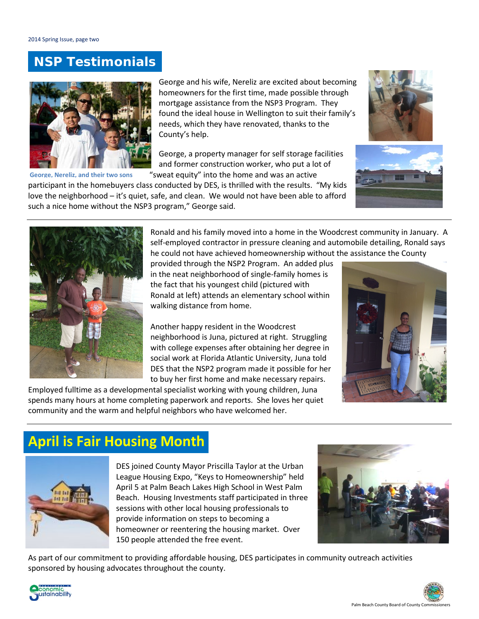## **NSP** *Testimonials*



**George, Nereliz, and their two sons**

George and his wife, Nereliz are excited about becoming homeowners for the first time, made possible through mortgage assistance from the NSP3 Program. They found the ideal house in Wellington to suit their family's needs, which they have renovated, thanks to the County's help.

George, a property manager for self storage facilities and former construction worker, who put a lot of "sweat equity" into the home and was an active

participant in the homebuyers class conducted by DES, is thrilled with the results. "My kids love the neighborhood – it's quiet, safe, and clean. We would not have been able to afford such a nice home without the NSP3 program," George said.







Ronald and his family moved into a home in the Woodcrest community in January. A self-employed contractor in pressure cleaning and automobile detailing, Ronald says he could not have achieved homeownership without the assistance the County

provided through the NSP2 Program. An added plus in the neat neighborhood of single-family homes is the fact that his youngest child (pictured with Ronald at left) attends an elementary school within walking distance from home.

Another happy resident in the Woodcrest neighborhood is Juna, pictured at right. Struggling with college expenses after obtaining her degree in social work at Florida Atlantic University, Juna told DES that the NSP2 program made it possible for her to buy her first home and make necessary repairs.

Employed fulltime as a developmental specialist working with young children, Juna spends many hours at home completing paperwork and reports. She loves her quiet community and the warm and helpful neighbors who have welcomed her.



## **April is Fair Housing Month**



DES joined County Mayor Priscilla Taylor at the Urban League Housing Expo, "Keys to Homeownership" held April 5 at Palm Beach Lakes High School in West Palm Beach. Housing Investments staff participated in three sessions with other local housing professionals to provide information on steps to becoming a homeowner or reentering the housing market. Over 150 people attended the free event.



As part of our commitment to providing affordable housing, DES participates in community outreach activities sponsored by housing advocates throughout the county.



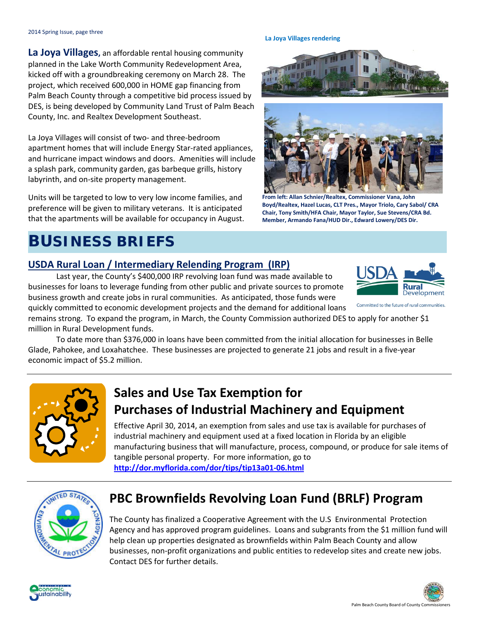**La Joya Villages,** an affordable rental housing community planned in the Lake Worth Community Redevelopment Area, kicked off with a groundbreaking ceremony on March 28. The project, which received 600,000 in HOME gap financing from Palm Beach County through a competitive bid process issued by DES, is being developed by Community Land Trust of Palm Beach County, Inc. and Realtex Development Southeast.

La Joya Villages will consist of two- and three-bedroom apartment homes that will include Energy Star-rated appliances, and hurricane impact windows and doors. Amenities will include a splash park, community garden, gas barbeque grills, history labyrinth, and on-site property management.

Units will be targeted to low to very low income families, and preference will be given to military veterans. It is anticipated that the apartments will be available for occupancy in August.

## **BUSINESS BRIEFS**

#### **USDA Rural Loan / Intermediary Relending Program (IRP)**

Last year, the County's \$400,000 IRP revolving loan fund was made available to businesses for loans to leverage funding from other public and private sources to promote business growth and create jobs in rural communities. As anticipated, those funds were quickly committed to economic development projects and the demand for additional loans

remains strong. To expand the program, in March, the County Commission authorized DES to apply for another \$1 million in Rural Development funds.

To date more than \$376,000 in loans have been committed from the initial allocation for businesses in Belle Glade, Pahokee, and Loxahatchee. These businesses are projected to generate 21 jobs and result in a five-year economic impact of \$5.2 million.

## **Sales and Use Tax Exemption for Purchases of Industrial Machinery and Equipment**

Effective April 30, 2014, an exemption from sales and use tax is available for purchases of industrial machinery and equipment used at a fixed location in Florida by an eligible manufacturing business that will manufacture, process, compound, or produce for sale items of tangible personal property. For more information, go to **<http://dor.myflorida.com/dor/tips/tip13a01-06.html>**



## **PBC Brownfields Revolving Loan Fund (BRLF) Program**

The County has finalized a Cooperative Agreement with the U.S Environmental Protection Agency and has approved program guidelines. Loans and subgrants from the \$1 million fund will help clean up properties designated as brownfields within Palm Beach County and allow businesses, non-profit organizations and public entities to redevelop sites and create new jobs. Contact DES for further details.



#### **La Joya Villages rendering**





**From left: Allan Schnier/Realtex, Commissioner Vana, John Boyd/Realtex, Hazel Lucas, CLT Pres., Mayor Triolo, Cary Sabol/ CRA Chair, Tony Smith/HFA Chair, Mayor Taylor, Sue Stevens/CRA Bd. Member, Armando Fana/HUD Dir., Edward Lowery/DES Dir.** 



Development

Committed to the future of rural communities